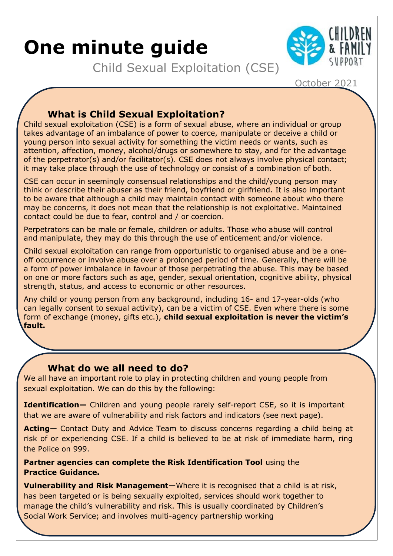# **One minute guide**

Child Sexual Exploitation (CSE)



October 2021

## **What is Child Sexual Exploitation?**

Child sexual exploitation (CSE) is a form of sexual abuse, where an individual or group takes advantage of an imbalance of power to coerce, manipulate or deceive a child or young person into sexual activity for something the victim needs or wants, such as attention, affection, money, alcohol/drugs or somewhere to stay, and for the advantage of the perpetrator(s) and/or facilitator(s). CSE does not always involve physical contact; it may take place through the use of technology or consist of a combination of both.

CSE can occur in seemingly consensual relationships and the child/young person may think or describe their abuser as their friend, boyfriend or girlfriend. It is also important to be aware that although a child may maintain contact with someone about who there may be concerns, it does not mean that the relationship is not exploitative. Maintained contact could be due to fear, control and / or coercion.

Perpetrators can be male or female, children or adults. Those who abuse will control and manipulate, they may do this through the use of enticement and/or violence.

Child sexual exploitation can range from opportunistic to organised abuse and be a oneoff occurrence or involve abuse over a prolonged period of time. Generally, there will be a form of power imbalance in favour of those perpetrating the abuse. This may be based on one or more factors such as age, gender, sexual orientation, cognitive ability, physical strength, status, and access to economic or other resources.

Any child or young person from any background, including 16- and 17-year-olds (who can legally consent to sexual activity), can be a victim of CSE. Even where there is some form of exchange (money, gifts etc.), **child sexual exploitation is never the victim's fault.**

#### **What do we all need to do?**

We all have an important role to play in protecting children and young people from sexual exploitation. We can do this by the following:

**Identification—** Children and young people rarely self-report CSE, so it is important that we are aware of vulnerability and risk factors and indicators (see next page).

**Acting—** Contact Duty and Advice Team to discuss concerns regarding a child being at risk of or experiencing CSE. If a child is believed to be at risk of immediate harm, ring the Police on 999.

**Partner agencies can complete the Risk Identification Tool** using the **Practice Guidance.**

**Vulnerability and Risk Management**—Where it is recognised that a child is at risk, has been targeted or is being sexually exploited, services should work together to manage the child's vulnerability and risk. This is usually coordinated by Children's Social Work Service; and involves multi-agency partnership working